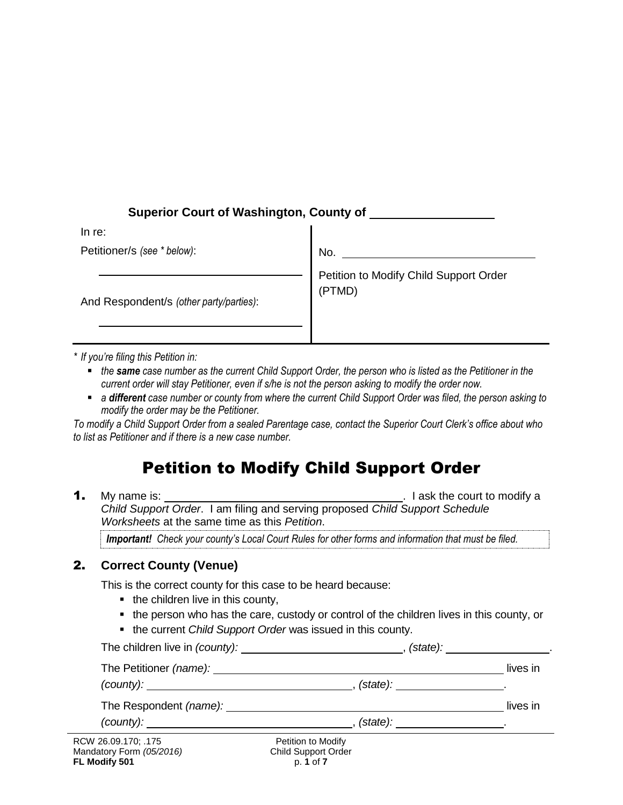# **Superior Court of Washington, County of**

| In re:                                  |                                                  |
|-----------------------------------------|--------------------------------------------------|
| Petitioner/s (see * below):             | <b>No</b>                                        |
| And Respondent/s (other party/parties): | Petition to Modify Child Support Order<br>(PTMD) |

*\* If you're filing this Petition in:* 

- *the same case number as the current Child Support Order, the person who is listed as the Petitioner in the current order will stay Petitioner, even if s/he is not the person asking to modify the order now.*
- *a different case number or county from where the current Child Support Order was filed, the person asking to modify the order may be the Petitioner.*

*To modify a Child Support Order from a sealed Parentage case, contact the Superior Court Clerk's office about who to list as Petitioner and if there is a new case number.* 

# Petition to Modify Child Support Order

**1.** My name is:  $\blacksquare$  My name is:  $\blacksquare$  **1.** I ask the court to modify a *Child Support Order*. I am filing and serving proposed *Child Support Schedule Worksheets* at the same time as this *Petition*.

*Important! Check your county's Local Court Rules for other forms and information that must be filed.*

# 2. **Correct County (Venue)**

This is the correct county for this case to be heard because:

- $\blacksquare$  the children live in this county,
- the person who has the care, custody or control of the children lives in this county, or
- the current *Child Support Order* was issued in this county.

|                                            |                                             | $(\text{state})$ : _______________________. |
|--------------------------------------------|---------------------------------------------|---------------------------------------------|
|                                            |                                             | lives in                                    |
|                                            | $(\text{state})$ : ______________________.  |                                             |
|                                            |                                             | lives in                                    |
|                                            | . $(\text{state})$ : _____________________. |                                             |
| V 26.09.170; .175<br>datory Form (05/2016) | Petition to Modify<br>Child Support Order   |                                             |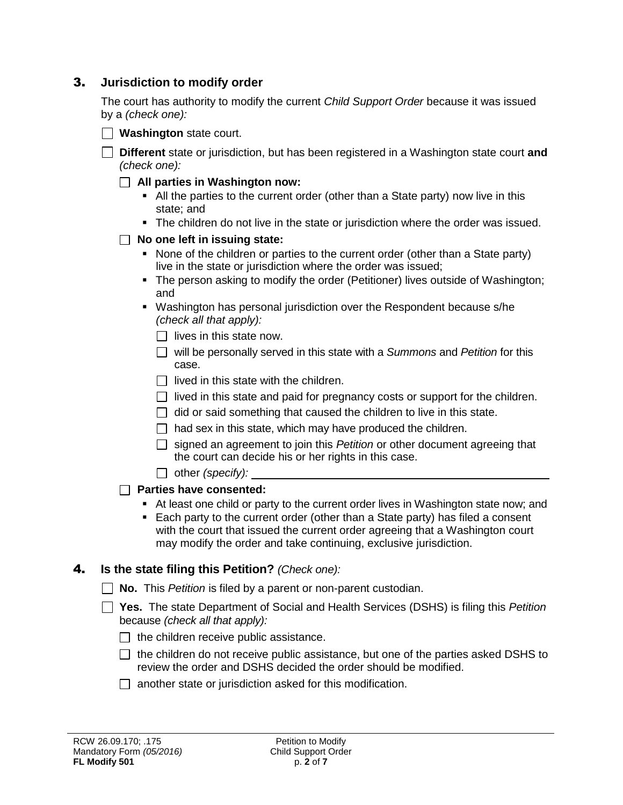### 3. **Jurisdiction to modify order**

The court has authority to modify the current *Child Support Order* because it was issued by a *(check one):*

**Different** state or jurisdiction, but has been registered in a Washington state court **and** *(check one):*

**All parties in Washington now:** 

- All the parties to the current order (other than a State party) now live in this state; and
- The children do not live in the state or jurisdiction where the order was issued.

#### **No one left in issuing state:**

- None of the children or parties to the current order (other than a State party) live in the state or jurisdiction where the order was issued;
- The person asking to modify the order (Petitioner) lives outside of Washington; and
- Washington has personal jurisdiction over the Respondent because s/he *(check all that apply):*
	- $\Box$  lives in this state now.
	- will be personally served in this state with a *Summons* and *Petition* for this case.
	- $\Box$  lived in this state with the children.
	- $\Box$  lived in this state and paid for pregnancy costs or support for the children.
	- $\Box$  did or said something that caused the children to live in this state.
	- $\Box$  had sex in this state, which may have produced the children.
	- signed an agreement to join this *Petition* or other document agreeing that the court can decide his or her rights in this case.
	- other *(specify):*

**Parties have consented:**

- At least one child or party to the current order lives in Washington state now; and
- Each party to the current order (other than a State party) has filed a consent with the court that issued the current order agreeing that a Washington court may modify the order and take continuing, exclusive jurisdiction.

## 4. **Is the state filing this Petition?** *(Check one):*

**No.** This *Petition* is filed by a parent or non-parent custodian.

- **Yes.** The state Department of Social and Health Services (DSHS) is filing this *Petition* because *(check all that apply):*
	- $\Box$  the children receive public assistance.
	- $\Box$  the children do not receive public assistance, but one of the parties asked DSHS to review the order and DSHS decided the order should be modified.
	- $\Box$  another state or jurisdiction asked for this modification.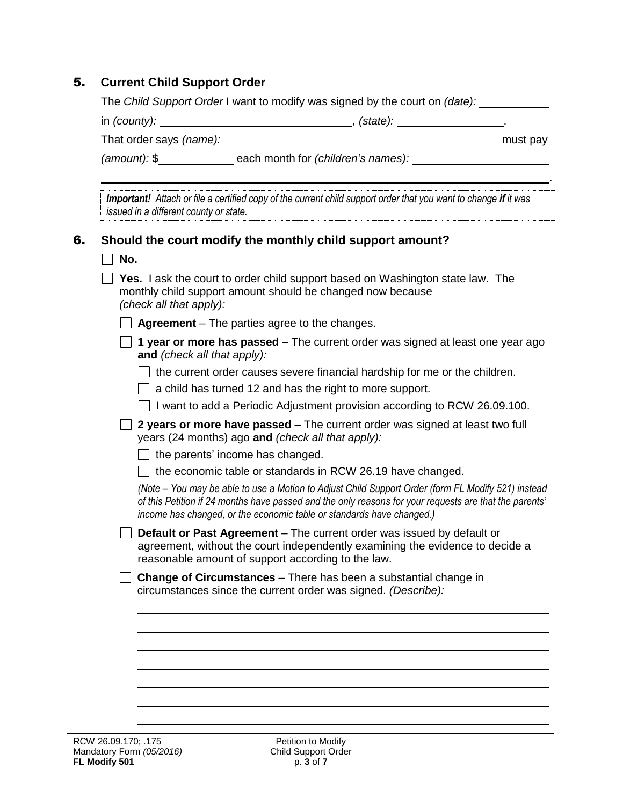## 5. **Current Child Support Order**

The *Child Support Order* I want to modify was signed by the court on *(date):*

| in (county): | (state); |  |
|--------------|----------|--|
|--------------|----------|--|

That order says (name): **must pay** must pay

*(amount):* \$ each month for *(children's names):* 

.

*Important!* Attach or file a certified copy of the current child support order that you want to change if it was *issued in a different county or state.*

#### 6. **Should the court modify the monthly child support amount?**

|     | Should the court modify the monthly child support amount?                                                                                                                                                                                                                             |
|-----|---------------------------------------------------------------------------------------------------------------------------------------------------------------------------------------------------------------------------------------------------------------------------------------|
| No. |                                                                                                                                                                                                                                                                                       |
|     | Yes. I ask the court to order child support based on Washington state law. The<br>monthly child support amount should be changed now because<br>(check all that apply):                                                                                                               |
|     | <b>Agreement</b> – The parties agree to the changes.                                                                                                                                                                                                                                  |
|     | 1 year or more has passed – The current order was signed at least one year ago<br>and (check all that apply):                                                                                                                                                                         |
|     | the current order causes severe financial hardship for me or the children.                                                                                                                                                                                                            |
|     | a child has turned 12 and has the right to more support.                                                                                                                                                                                                                              |
|     | I want to add a Periodic Adjustment provision according to RCW 26.09.100.                                                                                                                                                                                                             |
|     | 2 years or more have passed – The current order was signed at least two full<br>years (24 months) ago and (check all that apply):                                                                                                                                                     |
|     | the parents' income has changed.                                                                                                                                                                                                                                                      |
|     | the economic table or standards in RCW 26.19 have changed.                                                                                                                                                                                                                            |
|     | (Note - You may be able to use a Motion to Adjust Child Support Order (form FL Modify 521) instead<br>of this Petition if 24 months have passed and the only reasons for your requests are that the parents'<br>income has changed, or the economic table or standards have changed.) |
|     | <b>Default or Past Agreement</b> – The current order was issued by default or<br>agreement, without the court independently examining the evidence to decide a<br>reasonable amount of support according to the law.                                                                  |
|     | <b>Change of Circumstances</b> – There has been a substantial change in<br>circumstances since the current order was signed. (Describe):                                                                                                                                              |
|     |                                                                                                                                                                                                                                                                                       |
|     |                                                                                                                                                                                                                                                                                       |
|     |                                                                                                                                                                                                                                                                                       |
|     |                                                                                                                                                                                                                                                                                       |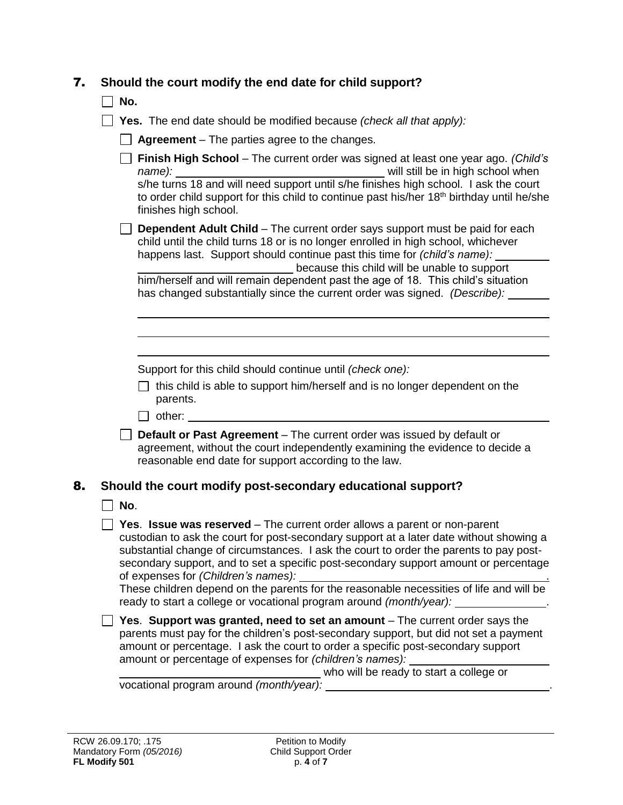|  | 7. Should the court modify the end date for child support? |
|--|------------------------------------------------------------|
|  |                                                            |

**No.** 

| $\Box$ Yes. The end date should be modified because (check all that apply): |
|-----------------------------------------------------------------------------|
|-----------------------------------------------------------------------------|

□ Agreement – The parties agree to the changes.

|    |     | Finish High School - The current order was signed at least one year ago. (Child's<br>to order child support for this child to continue past his/her 18 <sup>th</sup> birthday until he/she<br>finishes high school.                                                                                                                                                                           |
|----|-----|-----------------------------------------------------------------------------------------------------------------------------------------------------------------------------------------------------------------------------------------------------------------------------------------------------------------------------------------------------------------------------------------------|
|    |     | <b>Dependent Adult Child</b> – The current order says support must be paid for each<br>child until the child turns 18 or is no longer enrolled in high school, whichever<br>happens last. Support should continue past this time for (child's name):<br>because this child will be unable to support                                                                                          |
|    |     | him/herself and will remain dependent past the age of 18. This child's situation<br>has changed substantially since the current order was signed. (Describe):                                                                                                                                                                                                                                 |
|    |     |                                                                                                                                                                                                                                                                                                                                                                                               |
|    |     | Support for this child should continue until (check one):<br>$\Box$ this child is able to support him/herself and is no longer dependent on the<br>parents.                                                                                                                                                                                                                                   |
|    |     | Default or Past Agreement - The current order was issued by default or<br>agreement, without the court independently examining the evidence to decide a<br>reasonable end date for support according to the law.                                                                                                                                                                              |
| 8. |     | Should the court modify post-secondary educational support?                                                                                                                                                                                                                                                                                                                                   |
|    | No. |                                                                                                                                                                                                                                                                                                                                                                                               |
|    |     | Yes. Issue was reserved - The current order allows a parent or non-parent<br>custodian to ask the court for post-secondary support at a later date without showing a<br>substantial change of circumstances. I ask the court to order the parents to pay post-<br>secondary support, and to set a specific post-secondary support amount or percentage<br>of expenses for (Children's names): |
|    |     | These children depend on the parents for the reasonable necessities of life and will be<br>ready to start a college or vocational program around (month/year):                                                                                                                                                                                                                                |
|    |     | Yes. Support was granted, need to set an amount - The current order says the<br>parents must pay for the children's post-secondary support, but did not set a payment<br>amount or percentage. I ask the court to order a specific post-secondary support<br>amount or percentage of expenses for (children's names):                                                                         |
|    |     | who will be ready to start a college or                                                                                                                                                                                                                                                                                                                                                       |
|    |     |                                                                                                                                                                                                                                                                                                                                                                                               |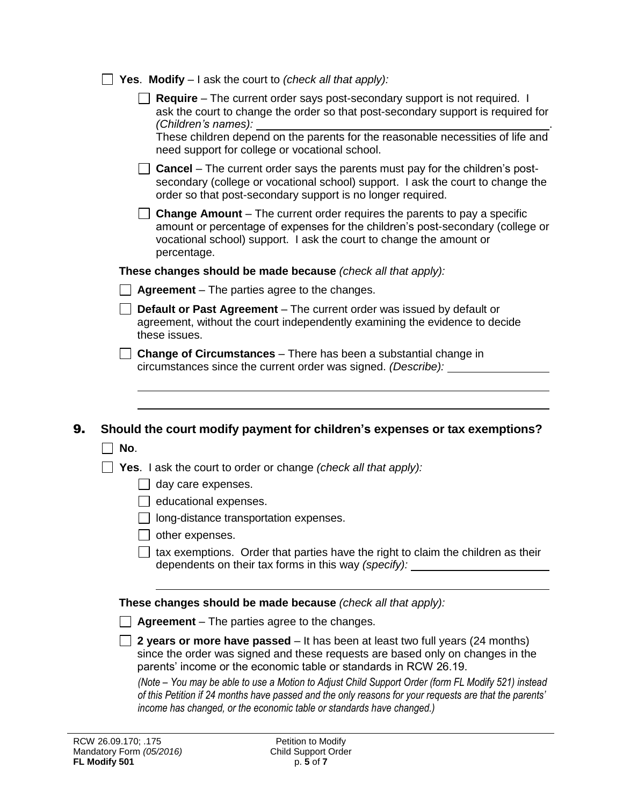| <b>Yes. Modify</b> $-1$ ask the court to <i>(check all that apply):</i>                                                                                                                                                                                 |  |
|---------------------------------------------------------------------------------------------------------------------------------------------------------------------------------------------------------------------------------------------------------|--|
| <b>Require</b> – The current order says post-secondary support is not required. I<br>ask the court to change the order so that post-secondary support is required for<br>(Children's names):                                                            |  |
| These children depend on the parents for the reasonable necessities of life and<br>need support for college or vocational school.                                                                                                                       |  |
| <b>Cancel</b> – The current order says the parents must pay for the children's post-<br>secondary (college or vocational school) support. I ask the court to change the<br>order so that post-secondary support is no longer required.                  |  |
| <b>Change Amount</b> – The current order requires the parents to pay a specific<br>amount or percentage of expenses for the children's post-secondary (college or<br>vocational school) support. I ask the court to change the amount or<br>percentage. |  |
| These changes should be made because (check all that apply):                                                                                                                                                                                            |  |
| <b>Agreement</b> – The parties agree to the changes.                                                                                                                                                                                                    |  |
| <b>Default or Past Agreement</b> – The current order was issued by default or<br>agreement, without the court independently examining the evidence to decide<br>these issues.                                                                           |  |
| $\Box$ Change of Circumstances – There has been a substantial change in<br>circumstances since the current order was signed. (Describe):                                                                                                                |  |
| Should the court modify payment for children's expenses or tax exemptions?                                                                                                                                                                              |  |
| No.<br><b>Yes.</b> I ask the court to order or change (check all that apply):<br>day care expenses.<br>educational expenses.                                                                                                                            |  |
| long-distance transportation expenses.                                                                                                                                                                                                                  |  |
| other expenses.<br>tax exemptions. Order that parties have the right to claim the children as their<br>dependents on their tax forms in this way (specify):                                                                                             |  |
|                                                                                                                                                                                                                                                         |  |
| These changes should be made because (check all that apply):                                                                                                                                                                                            |  |
| <b>Agreement</b> – The parties agree to the changes.                                                                                                                                                                                                    |  |
| 2 years or more have passed - It has been at least two full years (24 months)<br>since the order was signed and these requests are based only on changes in the<br>parents' income or the economic table or standards in RCW 26.19.                     |  |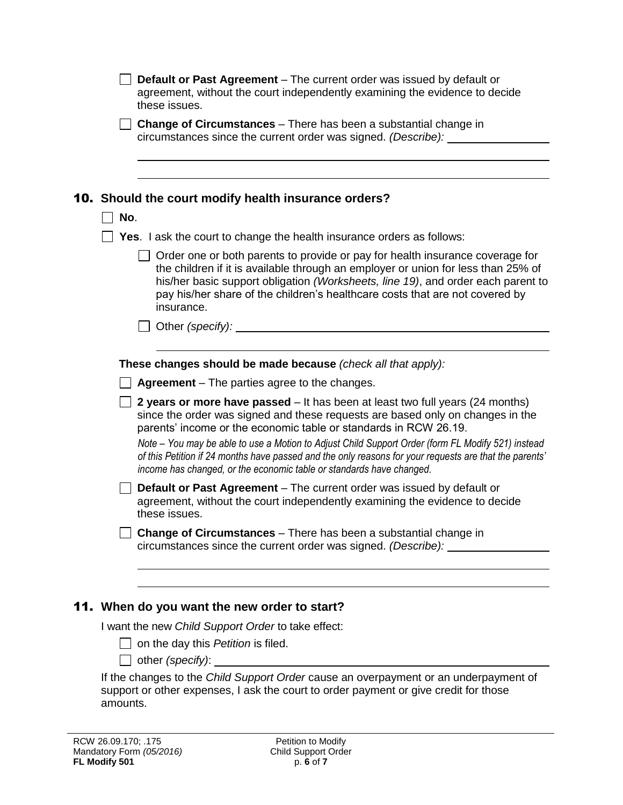|          | <b>Default or Past Agreement</b> – The current order was issued by default or<br>agreement, without the court independently examining the evidence to decide<br>these issues.                                                                                                                                                                                                                                                                                                                                              |
|----------|----------------------------------------------------------------------------------------------------------------------------------------------------------------------------------------------------------------------------------------------------------------------------------------------------------------------------------------------------------------------------------------------------------------------------------------------------------------------------------------------------------------------------|
|          | <b>Change of Circumstances</b> – There has been a substantial change in<br>circumstances since the current order was signed. (Describe): ______                                                                                                                                                                                                                                                                                                                                                                            |
| No.      | <b>10.</b> Should the court modify health insurance orders?                                                                                                                                                                                                                                                                                                                                                                                                                                                                |
|          | Yes. I ask the court to change the health insurance orders as follows:                                                                                                                                                                                                                                                                                                                                                                                                                                                     |
|          | $\perp$ Order one or both parents to provide or pay for health insurance coverage for<br>the children if it is available through an employer or union for less than 25% of<br>his/her basic support obligation (Worksheets, line 19), and order each parent to<br>pay his/her share of the children's healthcare costs that are not covered by<br>insurance.                                                                                                                                                               |
|          | $\Box$ Other (specify): $\Box$                                                                                                                                                                                                                                                                                                                                                                                                                                                                                             |
|          |                                                                                                                                                                                                                                                                                                                                                                                                                                                                                                                            |
|          | These changes should be made because (check all that apply):                                                                                                                                                                                                                                                                                                                                                                                                                                                               |
|          | <b>Agreement</b> – The parties agree to the changes.                                                                                                                                                                                                                                                                                                                                                                                                                                                                       |
|          | 2 years or more have passed – It has been at least two full years (24 months)<br>since the order was signed and these requests are based only on changes in the<br>parents' income or the economic table or standards in RCW 26.19.<br>Note – You may be able to use a Motion to Adjust Child Support Order (form FL Modify 521) instead<br>of this Petition if 24 months have passed and the only reasons for your requests are that the parents'<br>income has changed, or the economic table or standards have changed. |
|          | Default or Past Agreement - The current order was issued by default or<br>agreement, without the court independently examining the evidence to decide<br>these issues.                                                                                                                                                                                                                                                                                                                                                     |
|          | Change of Circumstances - There has been a substantial change in<br>circumstances since the current order was signed. (Describe):                                                                                                                                                                                                                                                                                                                                                                                          |
|          | 11. When do you want the new order to start?                                                                                                                                                                                                                                                                                                                                                                                                                                                                               |
|          | I want the new Child Support Order to take effect:                                                                                                                                                                                                                                                                                                                                                                                                                                                                         |
|          | on the day this Petition is filed.<br>other (specify): _____                                                                                                                                                                                                                                                                                                                                                                                                                                                               |
| amounts. | If the changes to the Child Support Order cause an overpayment or an underpayment of<br>support or other expenses, I ask the court to order payment or give credit for those                                                                                                                                                                                                                                                                                                                                               |